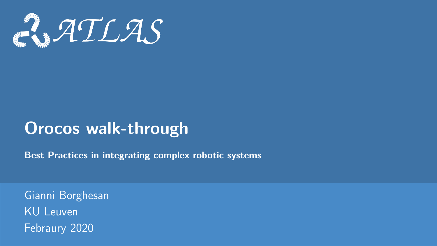<span id="page-0-0"></span>

# **Orocos walk-through**

**Best Practices in integrating complex robotic systems**

Gianni Borghesan KU Leuven Febraury 2020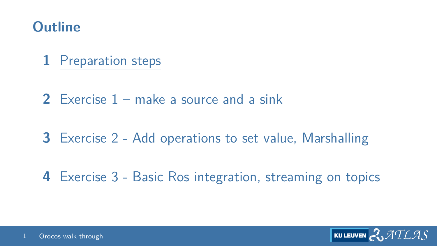#### <span id="page-1-0"></span>**Outline**

- [Preparation steps](#page-1-0)
- [Exercise 1 make a source and a sink](#page-14-0)
- [Exercise 2 Add operations to set value, Marshalling](#page-27-0)
- [Exercise 3 Basic Ros integration, streaming on topics](#page-38-0)

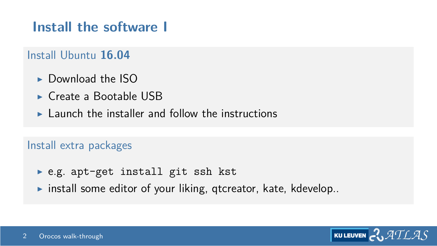## **Install the software I**

#### Install Ubuntu **16.04**

- $\blacktriangleright$  Download the ISO
- $\blacktriangleright$  Create a Bootable USB
- $\blacktriangleright$  Launch the installer and follow the instructions

#### Install extra packages

- $\blacktriangleright$  e.g. apt-get install git ssh kst
- $\blacktriangleright$  install some editor of your liking, qtcreator, kate, kdevelop...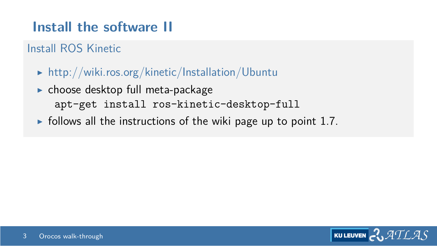## **Install the software II**

#### Install ROS Kinetic

- $\triangleright$  <http://wiki.ros.org/kinetic/Installation/Ubuntu>
- $\blacktriangleright$  choose desktop full meta-package apt-get install ros-kinetic-desktop-full
- $\triangleright$  follows all the instructions of the wiki page up to point 1.7.

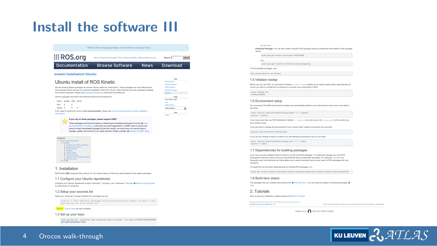#### **Install the software III**

| <b>EROS.org</b><br>About I Support I Discussion Forum I Service Status I O&A answers ros.org<br>Search:                                                                                                                                                                                                                                                                                                                                                                                                                                                                                                                                                                                                                                                                                                        | Submit |
|----------------------------------------------------------------------------------------------------------------------------------------------------------------------------------------------------------------------------------------------------------------------------------------------------------------------------------------------------------------------------------------------------------------------------------------------------------------------------------------------------------------------------------------------------------------------------------------------------------------------------------------------------------------------------------------------------------------------------------------------------------------------------------------------------------------|--------|
| Documentation<br><b>Browse Software</b><br>Download<br><b>News</b>                                                                                                                                                                                                                                                                                                                                                                                                                                                                                                                                                                                                                                                                                                                                             |        |
| kinetic/ Installation/ Ubuntu<br>ww<br>Uhuntu install of ROS Kinetic<br>Distributions                                                                                                                                                                                                                                                                                                                                                                                                                                                                                                                                                                                                                                                                                                                          |        |
| ROStratalation<br>We are building Debian packages for several Ubuntu platforms, listed below. These packages are more efficient than<br><b>ROB/Tub/Jahr</b><br>source-based builds and are our preferred installation method for Ubuntu. Note that there are also packages available<br><b>RecentOurney</b><br><b>Uburba</b><br>from Ubuntu upstream. Please see UpstreamPackages to understand the difference.<br>Ubuntu packages are built for the following distros and architectures.<br>Page<br>Immutable Page<br>Distro amd64 (386 armh)<br><b>MAY</b><br>x<br>×<br>Wily.<br><b>Atachments</b><br>×<br><b>Yardel</b> Y<br>×<br>×<br>Mora Articular<br>If you need to install from source inot recommended), glease see source (download-and-comple) installation<br><b>TRA</b><br>instructions.<br>Locie |        |
| If you rely on these packages, please support OSRF.<br>These packages are built and hosted on infrastructure maintained and gaid for by the @Coen<br>Source Robotics Foundation, a 501(c)(3) non-ordit organization. If OSRF were to receive one<br>penny for each downloaded gackage for ket two months, we could cover our annual costs to<br>manage, update, and host all of our online services. Please consider @ dorating to OSRF today.<br>Contents<br>1. Shorts instal of ROS Kinds<br>1. Indulation<br>5. Cortigues your Ulneston<br>2. Setup your sources fol-<br>3. Erd up your heat.<br>4. Installation<br><b>4. Inteller mades</b><br>4. Endorsed only<br>7. Dependencies for building pack<br><b>B. Build Sales shall as</b>                                                                     |        |
| <b>W. Tukoma</b><br>1 Installation<br>RCG Kinetic ONLY supports Wily (Ubuntu 15.10), Xenial (Ubuntu 16.04) and Jessie (Debian B) for debian packages.<br>1.1 Configure your Ubuntu repositories                                                                                                                                                                                                                                                                                                                                                                                                                                                                                                                                                                                                                |        |
| Configure your Ubuntu repositories to allow "restricted." "universe." and "multiverse." You can @ follow the Ubuntu quide<br>for instructions on doing this.                                                                                                                                                                                                                                                                                                                                                                                                                                                                                                                                                                                                                                                   |        |
| 1.2 Setup your sources.list<br>Setup your computer to accept software from packages ros.org<br>sude about "exha. "deb bite://agabases.com/con/con/ubuntu \$fiab release continuate" > /eta/<br>as Manurena, Hat, d/ran-Latent, Hat?<br>Minors Source Debs are also available<br>1.3 Set up your keys                                                                                                                                                                                                                                                                                                                                                                                                                                                                                                           |        |

sudo a po-key ady -- keyseryer 'hko://keyseryer.ubuntu.com: 80' -- recy-key C1CF6E31E6BADE886

or click here<br>Individual Package: You can also install a specific ROS package (replace underscores with dashes of the package name):

su do agt-get install ros-kinetic-PACKAGE

e.g. s u de o pr- gat i n stall r o s - kin et in - s m - a m a p i n g m

#### To find available packages, use:

apt-cache search ros-kinetic

#### 1.5 Initialize rosdep

Before you can use ROS, you will need to initialize rosdep. rosdep enables you to easily install system dependencies for source you want to compile and is required to run some core components in ROS.

sudo rondeo init rosdep update

#### 1.6 Environment setup

It's convenient if the ROS environment variables are automatically added to your bash session every time a new shell is launched:

echo "source /opt/ros/kinetic/setup.bash" >> "/.bashrc source "/.bashrc

If you have more than one ROS distribution installed, ~/.bashrc must only source the setup.bash for the version you are currently using.

If you just want to change the environment of your current shell, instead of the above you can type:

source /ost/ros/kinetic/setso.bash

If you use zsh instead of bash you need to run the following commands to set up your shell:

e h o " s o u r c e / o p t / r o a / k i n e t i c a n e t v e h r c ." / . z e h r c . source "/ sabre

#### 1.7 Dependencies for building packages

Up to now you have installed what you need to run the core ROS packages. To create and manage your own ROS workspaces, there are various tools and requirements that are distributed separately. For example, rosinstall is a frequently used command-line tool that enables you to easily download many source trees for ROS packages with one command.

To install this tool and other dependencies for building ROS packages, run:

sudo apr install python-rosinstall python-rosinstall-generator python-wetool build-essential

#### 1.8 Build farm status

The packages that you installed were built by the ROS build farm. You can check the status of individual packages 1 here.

2. Tutorials Now, to test your installation, please proceed to the ROS Tutorials.

Except where otherwise noted, the ROS wiki is licensed under the Creative Commons Attribution 3.0

Wiki: kinetic/Installation/Ubuntu (last edited 2019-07-25 00:49:39 by TulkyFoote)

**Institute Children International** 



4 [Orocos walk-through](#page-0-0) and the control of the control of the control of the control of the control of the control of the control of the control of the control of the control of the control of the control of the control of t

8B172B4F42ED6FBAB17C654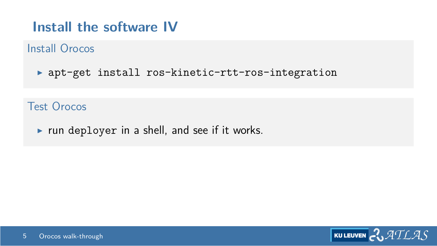#### **Install the software IV**

#### Install Orocos

 $\triangleright$  apt-get install ros-kinetic-rtt-ros-integration

Test Orocos

 $\blacktriangleright$  run deployer in a shell, and see if it works.

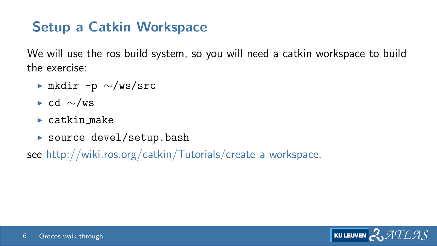## **Setup a Catkin Workspace**

We will use the ros build system, so you will need a catkin workspace to build the exercise:

- <sup>I</sup> mkdir -p ∼/ws/src
- $\blacktriangleright$  cd ∼/ws
- $\blacktriangleright$  catkin make
- $\blacktriangleright$  source devel/setup.bash

see [http://wiki.ros.org/catkin/Tutorials/create](http://wiki.ros.org/catkin/Tutorials/create_a_workspace) a workspace.

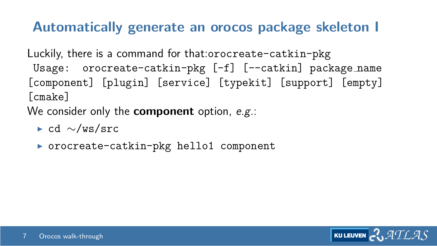## **Automatically generate an orocos package skeleton I**

Luckily, there is a command for that:orocreate-catkin-pkg Usage: orocreate-catkin-pkg [-f] [--catkin] package name [component] [plugin] [service] [typekit] [support] [empty] [cmake]

We consider only the **component** option, e.g.:

- <sup>I</sup> cd ∼/ws/src
- ▶ orocreate-catkin-pkg hello1 component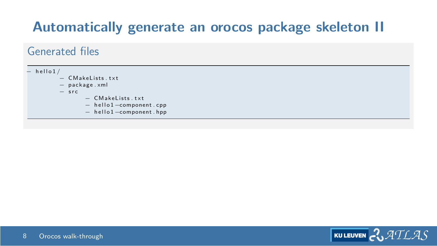## **Automatically generate an orocos package skeleton II**

#### Generated files

 $-$  hello $1/$ 

- − CM a keLi s t s . t x t
- − p ac k a ge . xml

− s r c

- $-\int M s k e L \text{ is } t s + y t$
- − h e l l o 1−component . cpp
- − h e l l o 1−component . hpp

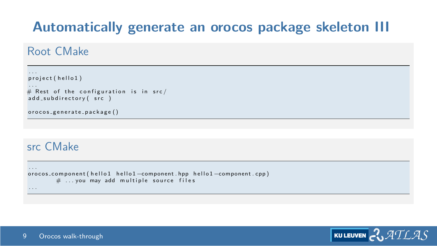## **Automatically generate an orocos package skeleton III**

#### Root CMake

```
...<br>project ( hello1 )
\dots \# Rest of the configuration is in src/
add\_subdirectory( src )
```

```
o r o c o s _ g e n e r a t e _ p a c k a g e ()
```
#### src CMake

```
...<br>orocos_component(hello1 hello1—component.hpp hello1—component.cpp)
        # ... you may add multiple source files
. . .
```
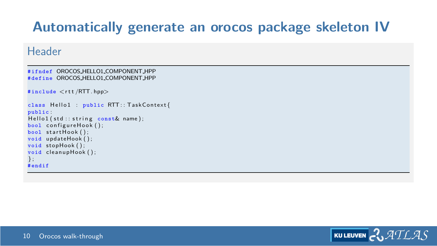## **Automatically generate an orocos package skeleton IV**

#### Header

```
# ifndef OROCOS HELLO1 COMPONENT HPP
# define OROCOS HELLO1 COMPONENT HPP
#include < <rtt /RTT. hpp>
class Hello1 : public RTT:: TaskContext{
public :
Hello1 (std :: string const& name);
bool configureHook();
bool startHook():
void updateHook();
void stopHook();
void cleanupHook ();
};
# endif
```
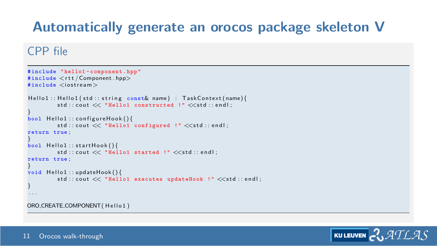## **Automatically generate an orocos package skeleton V**

#### CPP file

```
#include "hello1-component.hpp"
#include <rtt / Component . hpp>
#include \ltiostream>Hello1:: Hello1(std:: string const& name) : TaskContext(name){
         std :: count \ll "Hello1 constant, constant]}
bool Hello1 :: configureHook(){
         std :: count \ll "Hello1 configured !" << std :: end :return true ;
}
bool Hello1 :: start Hook ()std :: \text{count} \ll \text{"Hello1 started !"} \ll \text{std ::end!};return true ;
}
void Hello1 :: updateHook(){
         std:: cout << "Hello1 executes updateHook !" << std:: endl:
}
. . .
ORO CREATE COMPONENT (Hello1)
```
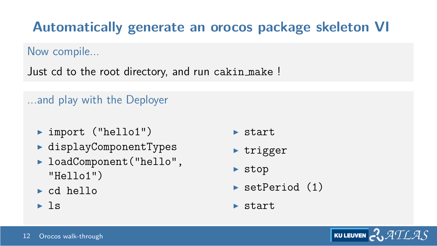## **Automatically generate an orocos package skeleton VI**

Now compile...

Just cd to the root directory, and run cakin make !

...and play with the Deployer

- $\blacktriangleright$  import ("hello1")
- $\blacktriangleright$  displayComponentTypes
- ▶ loadComponent("hello", "Hello1")
- $\blacktriangleright$  cd hello
- $\blacktriangleright$  ls
- $\triangleright$  start
- $\blacktriangleright$  trigger
- $\blacktriangleright$  stop
- $\blacktriangleright$  setPeriod (1)
- $\blacktriangleright$  start

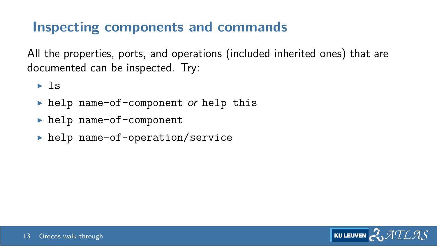#### **Inspecting components and commands**

All the properties, ports, and operations (included inherited ones) that are documented can be inspected. Try:

 $\blacktriangleright$  ls

- help name-of-component or help this
- $\blacktriangleright$  help name-of-component
- $\blacktriangleright$  help name-of-operation/service

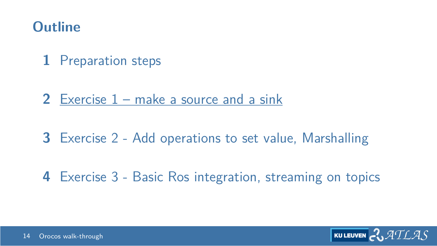#### <span id="page-14-0"></span>**Outline**

- [Preparation steps](#page-1-0)
- [Exercise 1 make a source and a sink](#page-14-0)
- [Exercise 2 Add operations to set value, Marshalling](#page-27-0)
- [Exercise 3 Basic Ros integration, streaming on topics](#page-38-0)

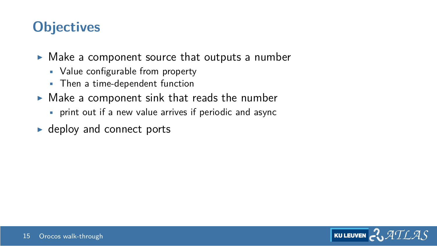## **Objectives**

- $\triangleright$  Make a component source that outputs a number
	- Value configurable from property
	- Then a time-dependent function
- $\triangleright$  Make a component sink that reads the number
	- print out if a new value arrives if periodic and async
- $\blacktriangleright$  deploy and connect ports

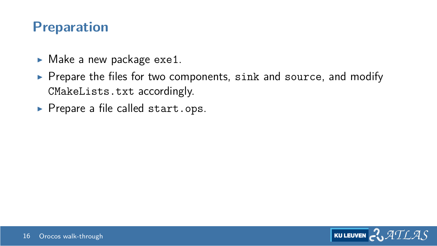#### **Preparation**

- $\blacktriangleright$  Make a new package exe1.
- $\triangleright$  Prepare the files for two components, sink and source, and modify CMakeLists.txt accordingly.
- $\blacktriangleright$  Prepare a file called start.ops.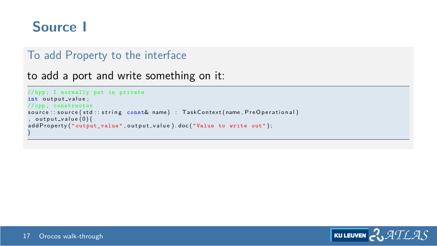## **Source I**

#### To add Property to the interface

to add a port and write something on it:

```
// hpp ; I normally put in private
int output_value:
// cpp , constructor
source :: source (std :: string const& name) : TaskContext (name, PreOperational)
, output_value(0){
addProperty ("output_value", output_value).doc ("Value to write out");
}
```
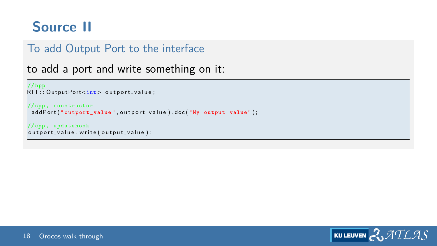## **Source II**

#### To add Output Port to the interface

to add a port and write something on it:

```
// hpp
RTT::OutputPort <math>\leq int outport value;
// cpp , constructor
 addPort ("outport_value", outport_value).doc ("My output value");
// cpp , updatehook
outport_value.write(output_value);
```
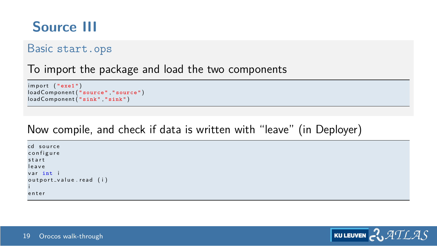## **Source III**

#### Basic start.ops

To import the package and load the two components

```
import ("exe1")
loadComponent ("source", "source")
loadComponent ("sink", "sink")
```
#### Now compile, and check if data is written with "leave" (in Deployer)

```
cd s o u r c e
c o n f i g u r e
s t a r t
l e a v e
var int i
outport_value.read (i)
i
e n t e r
```
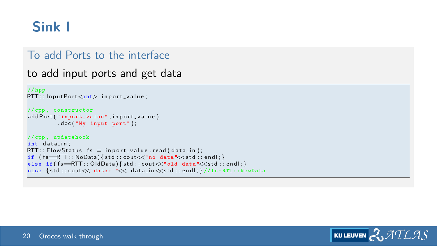## **Sink I**

#### To add Ports to the interface

#### to add input ports and get data

```
// hpp
RTT \cdot \cdot \cdot Innut Port \leq int innort value :
// cpp , constructor
addPort ("inport_value", inport_value)
         . doc ( "My input port " ) ;
// cpp , updatehook
int data_in :
RTT::FlowStatus fs = inport_value.read(data_in):if (f = RTT : NoData) s d : cout \ll^nno data \ll s d : i.e.else if (f s = RTT :: 0 | dData) { std : : cout \ll old data \ll std : : endl; }
else {std::cout<<"data: "<< data_in<<std::endl:}//fs=RTT::NewData
```
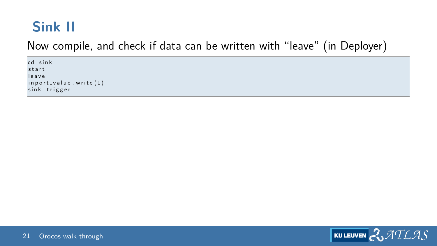## **Sink II**

Now compile, and check if data can be written with "leave" (in Deployer)

cd sink s t a r t l e a v e  $in port_value$ . write $(1)$ sink.trigger

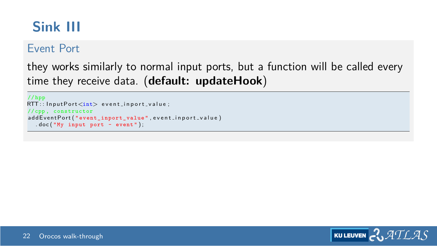## **Sink III**

#### Event Port

they works similarly to normal input ports, but a function will be called every time they receive data. (**default: updateHook**)

// hpp  $RTT::InputPort \leq int$  event\_inport\_value; // cpp , constructor add Event Port (" event\_inport\_value", event\_inport\_value)  $\cdot$  doc ("My input port - event");

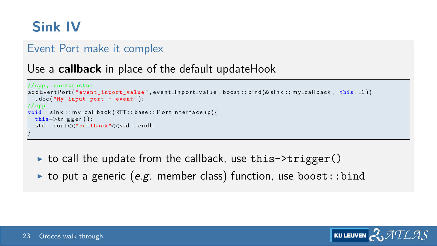## **Sink IV**

#### Event Port make it complex

Use a **callback** in place of the default updateHook

```
// cpp , constructor
addEventPort("event import value", event import\_input = 'q, book::bind(& sink::my-callback, this, 1)). doc ( "My input port - event " ) ;
// cpp
void sink :: my_callback (RTT :: base :: PortInterface*p) {
  this>trigger();
  std :: count \ll "callback" \ll std :: end:
}
```
- $\triangleright$  to call the update from the callback, use this- $\triangleright$ trigger()
- to put a generic (e.g. member class) function, use boost::bind

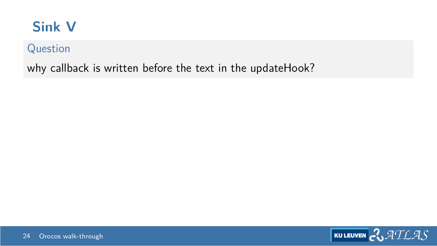## **Sink V**

#### Question

why callback is written before the text in the updateHook?

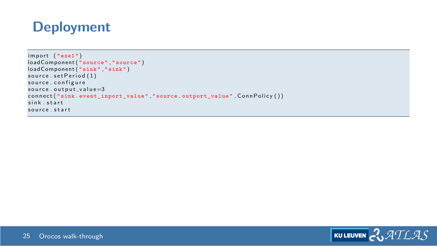#### **Deployment**

```
import ("exe1")
loadComponent ("source", "source")
loadComponent ("sink" "sink")
source.setPeriod(1)
source.configure
source. output<sub>-value=3</sub>
connect ("sink.event_inport_value","source.outport_value",ConnPolicy())
sink errorsource, start
```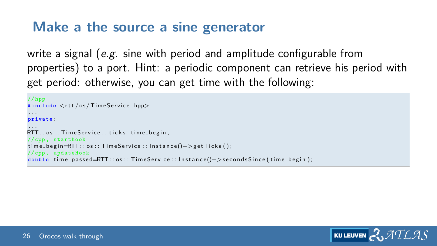#### **Make a the source a sine generator**

write a signal (e.g. sine with period and amplitude configurable from properties) to a port. Hint: a periodic component can retrieve his period with get period: otherwise, you can get time with the following:

// hpp  $\#$ include  $\lt$ rtt/os/TimeService.hpp> . . . private : . . .  $RTT::os::TimeService::ticks-time before$ // cpp , starthook time\_begin=RTT:: os:: TimeService:: Instance()->getTicks(): // cpp , updateHook double time\_passed=RTT:: os :: TimeService :: Instance()->secondsSince(time\_begin);

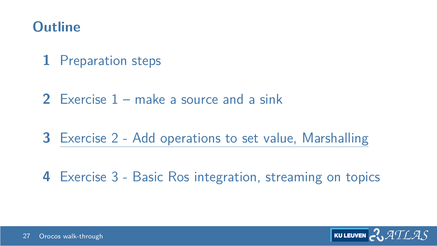#### <span id="page-27-0"></span>**Outline**

- [Preparation steps](#page-1-0)
- [Exercise 1 make a source and a sink](#page-14-0)
- [Exercise 2 Add operations to set value, Marshalling](#page-27-0)
- [Exercise 3 Basic Ros integration, streaming on topics](#page-38-0)

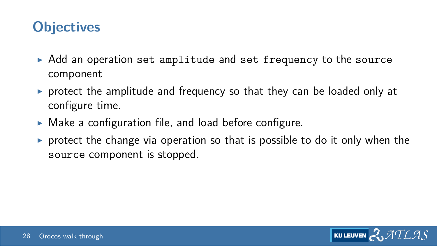## **Objectives**

- $\triangleright$  Add an operation set amplitude and set frequency to the source component
- $\triangleright$  protect the amplitude and frequency so that they can be loaded only at configure time.
- $\triangleright$  Make a configuration file, and load before configure.
- $\triangleright$  protect the change via operation so that is possible to do it only when the source component is stopped.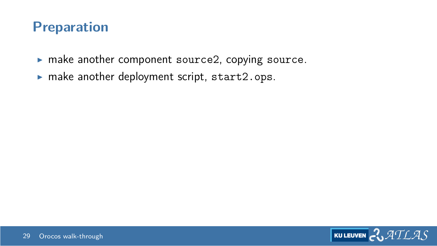#### **Preparation**

- $\triangleright$  make another component source2, copying source.
- $\triangleright$  make another deployment script, start2.ops.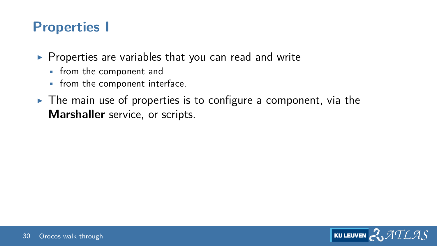#### **Properties I**

- $\triangleright$  Properties are variables that you can read and write
	- from the component and
	- from the component interface.
- $\triangleright$  The main use of properties is to configure a component, via the **Marshaller** service, or scripts.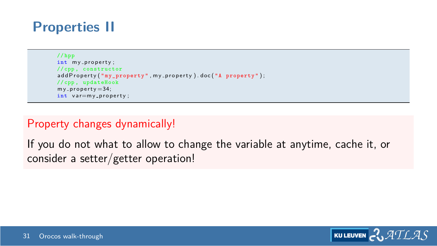## **Properties II**

```
// hpp
int my_property;
// cpp , constructor
addProperty('my property", my\_property). doc("A property");
// cpp , updateHook
my\_property = 34;int var=my_property;
```
#### Property changes dynamically!

If you do not what to allow to change the variable at anytime, cache it, or consider a setter/getter operation!

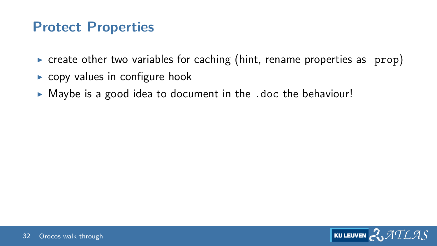#### **Protect Properties**

- $\triangleright$  create other two variables for caching (hint, rename properties as  $\preceq$ prop)
- $\triangleright$  copy values in configure hook
- $\triangleright$  Maybe is a good idea to document in the .doc the behaviour!

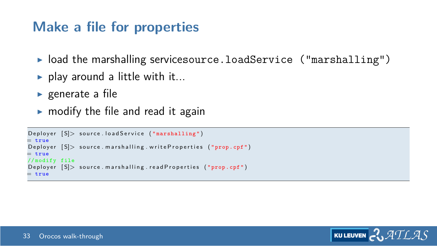#### **Make a file for properties**

- $\blacktriangleright$  load the marshalling servicesource.loadService ("marshalling")
- $\blacktriangleright$  play around a little with it...
- $\blacktriangleright$  generate a file
- $\triangleright$  modify the file and read it again

```
Deplover [S]> source.load Service ("marshalling")
= true
Deployer [S] > source marshalling write Properties ("prop.cpf")
= true
// modify file
Deployer [S] > source marshalling read Properties ("prop.cpf")
= true
```
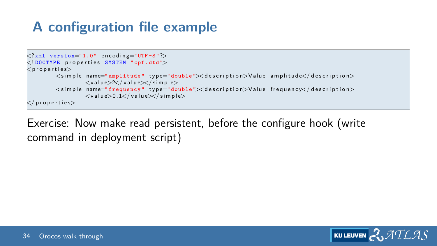## **A configuration file example**

```
\langle ? \text{xml version} = "1.0" encoding = "UTE - 8"<! DOCTYPE properties SYSTEM "cpf.dtd">
\langle properties \rangle\le simple name="amplitude" type="double"\ledescription>Value amplitude\le/description>
                    \langle value>2\langle/value\times/simple>\le simple name="frequency" type="double"\lt description >Value frequency\lt/description >
                    \langle value> 0.1\langle/value>\rangle/simple>\langle properties>
```
Exercise: Now make read persistent, before the configure hook (write command in deployment script)

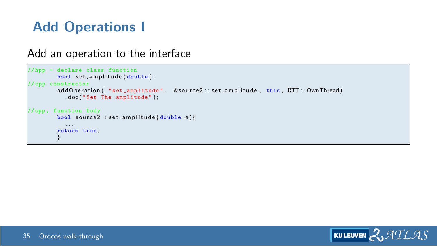## **Add Operations I**

#### Add an operation to the interface

```
// hpp - declare class function
        bool set_amplitude(double);
// cpp constructor
        add Operation ( " set_amplitude", &source2 :: set_amplitude, this, RTT :: OwnThread)
          . doc ( " Set The amplitude " ) ;
// cpp , function body
        bool source2 :: set_amplitude (double a){
          . . .
        return true ;
         }
```
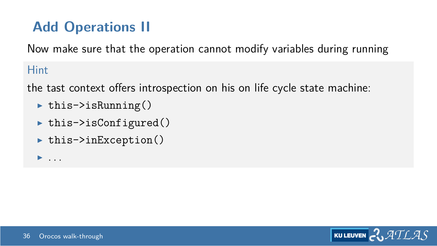## **Add Operations II**

Now make sure that the operation cannot modify variables during running

#### Hint

the tast context offers introspection on his on life cycle state machine:

- $\blacktriangleright$  this->isRunning()
- $\blacktriangleright$  this->isConfigured()
- $\blacktriangleright$  this->inException()
- $\blacktriangleright$  ...

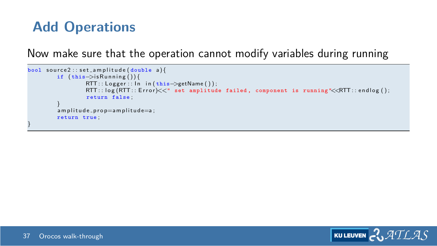## **Add Operations**

Now make sure that the operation cannot modify variables during running

```
bool source2 :: set_amplitude (double a) {
         if (this \rightarrow is Running())RTT :: Logger :: In in (this->getName ()):
                  RTT:: log(RTT::Error)<< " set amplitude failed, component is running "<&lt;RTT::endlog();
                  return false ;
         }
         a m p litude_prop=amplitude=a :
         return true ;
}
```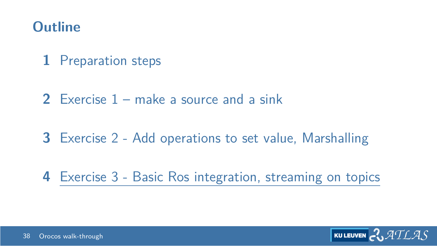#### <span id="page-38-0"></span>**Outline**

- [Preparation steps](#page-1-0)
- [Exercise 1 make a source and a sink](#page-14-0)
- [Exercise 2 Add operations to set value, Marshalling](#page-27-0)
- [Exercise 3 Basic Ros integration, streaming on topics](#page-38-0)

$$
\boxed{\text{KULEUVEN}}\text{C}\text{VATLAS}
$$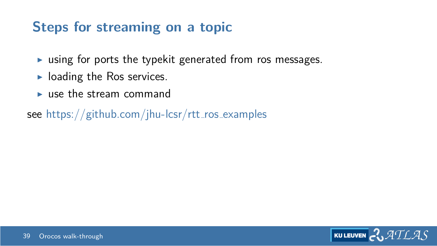## **Steps for streaming on a topic**

- $\triangleright$  using for ports the typekit generated from ros messages.
- $\blacktriangleright$  loading the Ros services.
- $\blacktriangleright$  use the stream command

see [https://github.com/jhu-lcsr/rtt](https://github.com/jhu-lcsr/rtt_ros_examples)\_ros\_examples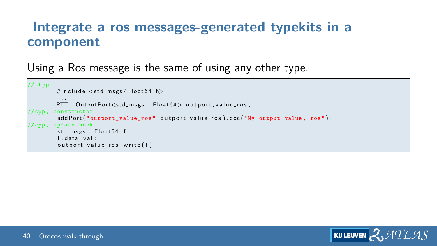#### **Integrate a ros messages-generated typekits in a component**

Using a Ros message is the same of using any other type.

```
// hpp
        \#in clude \ltstd_msgs/Float64.h>
         . . .<br>RTT : : OutputPort<std_msgs : : Float64> outport_value_ros ;
// cpp , constructor
         addPort (" outport value_ros", outport_value_ros).doc ("My output value, ros");
// cpp , update hook
         std_m s g s :: Float64 f;f. data=val :
         outport_value\_ros, write(f):
```
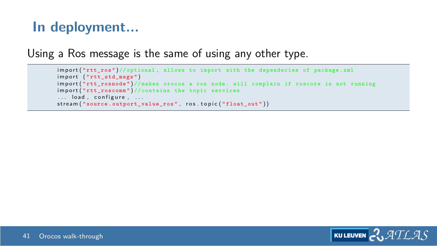## **In deployment...**

Using a Ros message is the same of using any other type.

```
import ("rtt_ros")//optional, allows to import with the dependecies of package.xml
import ("rtt_std_msgs")
\frac{1}{\pi} import ("rtt rosnode") // makes orocos a ros node. will complain if roscore is not running
import("rtt\_roscomm") // contains the topic services\ldots load, configure, \ldotsstream ("source.outport_value_ros", ros.topic ("float_out"))
```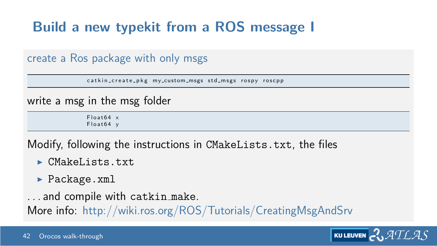## **Build a new typekit from a ROS message I**

create a Ros package with only msgs

catkin\_create\_pkg my\_custom\_msgs std\_msgs rospy roscpp

write a msg in the msg folder

 $Flost64 \times$  $F$ loat 64 v

Modify, following the instructions in CMakeLists.txt, the files

- $\blacktriangleright$  CMakeLists txt
- ▶ Package.xml

. . . and compile with catkin make.

More info: <http://wiki.ros.org/ROS/Tutorials/CreatingMsgAndSrv>